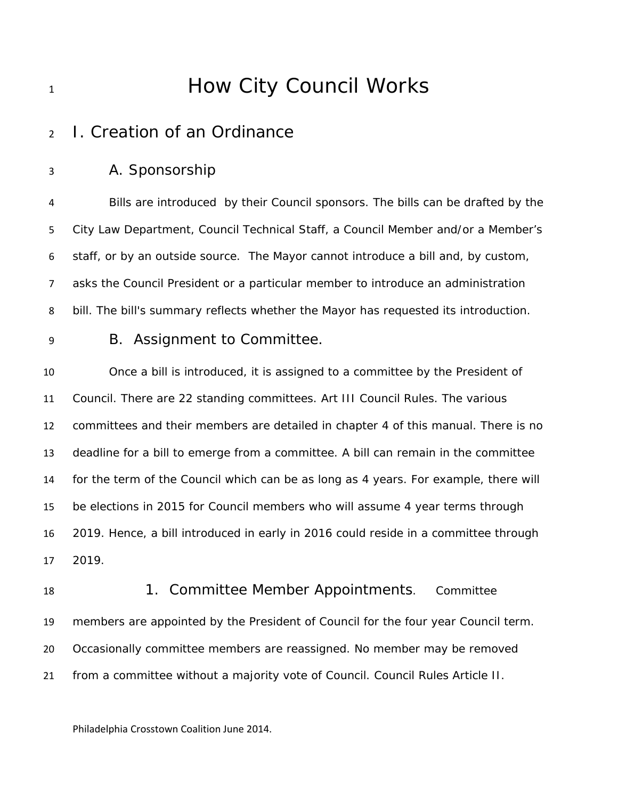# **How City Council Works**

## I. Creation of an Ordinance

A. Sponsorship

 Bills are introduced by their Council sponsors. The bills can be drafted by the City Law Department, Council Technical Staff, a Council Member and/or a Member's staff, or by an outside source. The Mayor cannot introduce a bill and, by custom, asks the Council President or a particular member to introduce an administration bill. The bill's summary reflects whether the Mayor has requested its introduction.

### B. Assignment to Committee.

 Once a bill is introduced, it is assigned to a committee by the President of Council. There are 22 standing committees. Art III Council Rules. The various committees and their members are detailed in chapter 4 of this manual. There is no deadline for a bill to emerge from a committee. A bill can remain in the committee for the term of the Council which can be as long as 4 years. For example, there will be elections in 2015 for Council members who will assume 4 year terms through 2019. Hence, a bill introduced in early in 2016 could reside in a committee through 2019.

18 1. Committee Member Appointments. Committee members are appointed by the President of Council for the four year Council term. Occasionally committee members are reassigned. No member may be removed from a committee without a majority vote of Council. Council Rules Article II.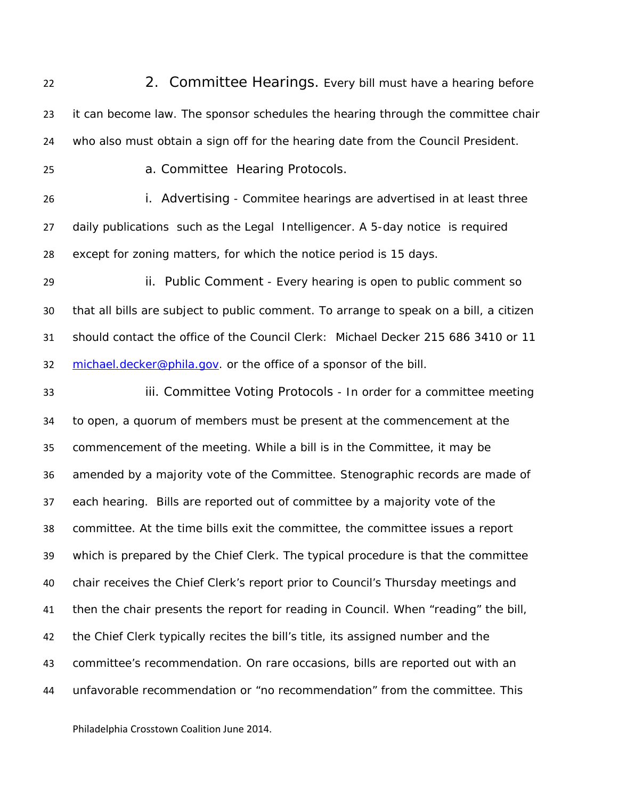22 22 2. Committee Hearings. Every bill must have a hearing before 23 it can become law. The sponsor schedules the hearing through the committee chair who also must obtain a sign off for the hearing date from the Council President. a. Committee Hearing Protocols. i. Advertising - Commitee hearings are advertised in at least three daily publications such as the Legal Intelligencer. A 5-day notice is required except for zoning matters, for which the notice period is 15 days. ii. Public Comment - Every hearing is open to public comment so that all bills are subject to public comment. To arrange to speak on a bill, a citizen should contact the office of the Council Clerk: Michael Decker 215 686 3410 or 11 32 michael.decker@phila.gov. or the office of a sponsor of the bill. iii. Committee Voting Protocols - In order for a committee meeting to open, a quorum of members must be present at the commencement at the commencement of the meeting. While a bill is in the Committee, it may be amended by a majority vote of the Committee. Stenographic records are made of each hearing. Bills are reported out of committee by a majority vote of the committee. At the time bills exit the committee, the committee issues a report which is prepared by the Chief Clerk. The typical procedure is that the committee chair receives the Chief Clerk's report prior to Council's Thursday meetings and then the chair presents the report for reading in Council. When "reading" the bill, the Chief Clerk typically recites the bill's title, its assigned number and the

 committee's recommendation. On rare occasions, bills are reported out with an unfavorable recommendation or "no recommendation" from the committee. This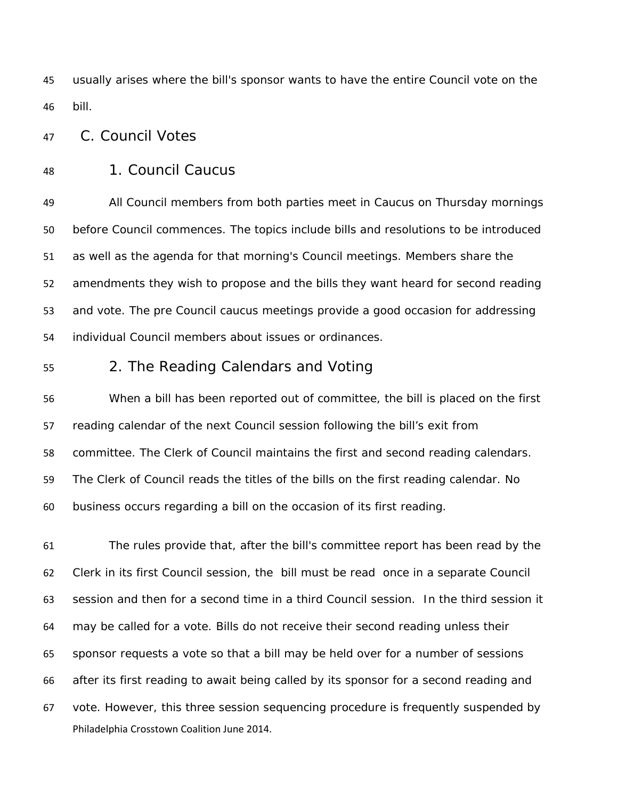usually arises where the bill's sponsor wants to have the entire Council vote on the bill.

C. Council Votes

1. Council Caucus

 All Council members from both parties meet in Caucus on Thursday mornings before Council commences. The topics include bills and resolutions to be introduced as well as the agenda for that morning's Council meetings. Members share the amendments they wish to propose and the bills they want heard for second reading and vote. The pre Council caucus meetings provide a good occasion for addressing individual Council members about issues or ordinances.

#### 2. The Reading Calendars and Voting

 When a bill has been reported out of committee, the bill is placed on the first reading calendar of the next Council session following the bill's exit from committee. The Clerk of Council maintains the first and second reading calendars. The Clerk of Council reads the titles of the bills on the first reading calendar. No business occurs regarding a bill on the occasion of its first reading.

Philadelphia Crosstown Coalition June 2014. The rules provide that, after the bill's committee report has been read by the Clerk in its first Council session, the bill must be read once in a separate Council session and then for a second time in a third Council session. In the third session it may be called for a vote. Bills do not receive their second reading unless their sponsor requests a vote so that a bill may be held over for a number of sessions after its first reading to await being called by its sponsor for a second reading and vote. However, this three session sequencing procedure is frequently suspended by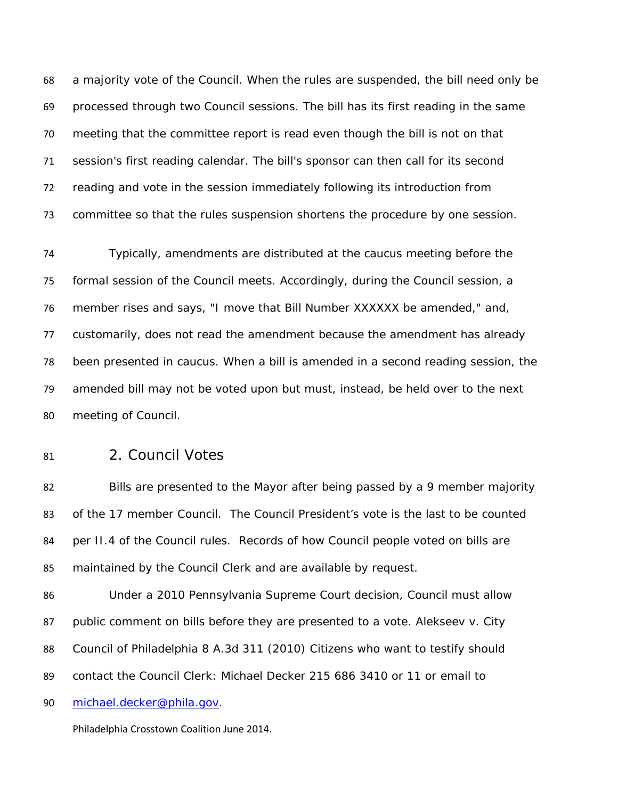a majority vote of the Council. When the rules are suspended, the bill need only be processed through two Council sessions. The bill has its first reading in the same meeting that the committee report is read even though the bill is not on that session's first reading calendar. The bill's sponsor can then call for its second reading and vote in the session immediately following its introduction from committee so that the rules suspension shortens the procedure by one session.

 Typically, amendments are distributed at the caucus meeting before the formal session of the Council meets. Accordingly, during the Council session, a member rises and says, "I move that Bill Number XXXXXX be amended," and, customarily, does not read the amendment because the amendment has already been presented in caucus. When a bill is amended in a second reading session, the amended bill may not be voted upon but must, instead, be held over to the next meeting of Council.

2. Council Votes

 Bills are presented to the Mayor after being passed by a 9 member majority of the 17 member Council. The Council President's vote is the last to be counted 84 per II.4 of the Council rules. Records of how Council people voted on bills are maintained by the Council Clerk and are available by request.

 Under a 2010 Pennsylvania Supreme Court decision, Council must allow public comment on bills before they are presented to a vote. *Alekseev v. City Council of Philadelphia 8 A.3d 311 (2010)* Citizens who want to testify should contact the Council Clerk: Michael Decker 215 686 3410 or 11 or email to

michael.decker@phila.gov.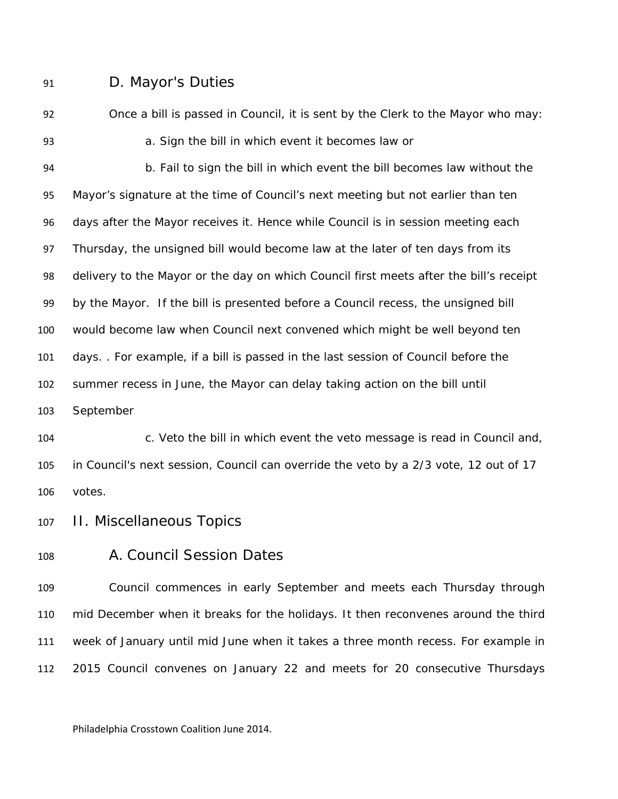### D. Mayor's Duties

 Once a bill is passed in Council, it is sent by the Clerk to the Mayor who may: a. Sign the bill in which event it becomes law or

 b. Fail to sign the bill in which event the bill becomes law without the Mayor's signature at the time of Council's next meeting but not earlier than ten days after the Mayor receives it. Hence while Council is in session meeting each Thursday, the unsigned bill would become law at the later of ten days from its delivery to the Mayor or the day on which Council first meets after the bill's receipt by the Mayor. If the bill is presented before a Council recess, the unsigned bill would become law when Council next convened which might be well beyond ten days. . For example, if a bill is passed in the last session of Council before the summer recess in June, the Mayor can delay taking action on the bill until September

 c. Veto the bill in which event the veto message is read in Council and, in Council's next session, Council can override the veto by a 2/3 vote, 12 out of 17 votes.

- II. Miscellaneous Topics
- 

#### A. Council Session Dates

 Council commences in early September and meets each Thursday through mid December when it breaks for the holidays. It then reconvenes around the third week of January until mid June when it takes a three month recess. For example in 2015 Council convenes on January 22 and meets for 20 consecutive Thursdays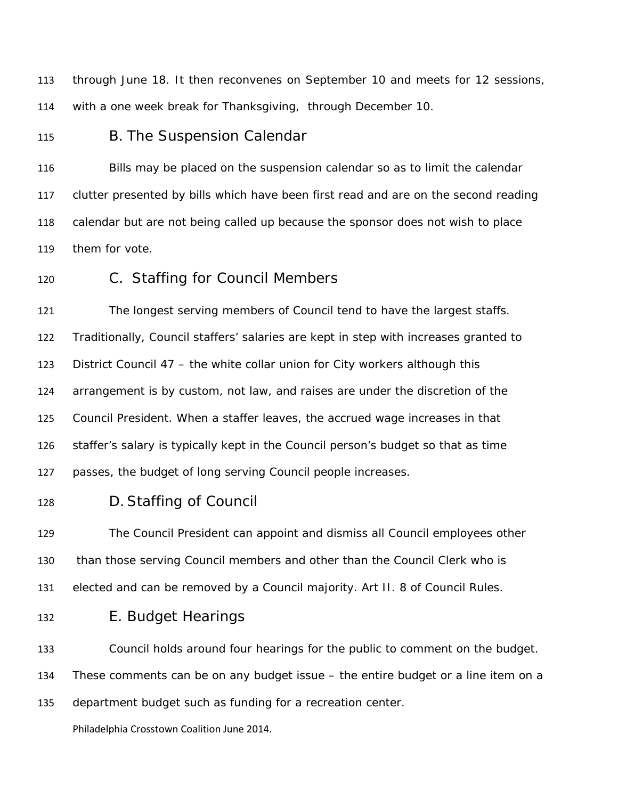through June 18. It then reconvenes on September 10 and meets for 12 sessions, with a one week break for Thanksgiving, through December 10.

B. The Suspension Calendar

 Bills may be placed on the suspension calendar so as to limit the calendar clutter presented by bills which have been first read and are on the second reading calendar but are not being called up because the sponsor does not wish to place them for vote.

C. Staffing for Council Members

 The longest serving members of Council tend to have the largest staffs. Traditionally, Council staffers' salaries are kept in step with increases granted to District Council 47 – the white collar union for City workers although this arrangement is by custom, not law, and raises are under the discretion of the Council President. When a staffer leaves, the accrued wage increases in that staffer's salary is typically kept in the Council person's budget so that as time passes, the budget of long serving Council people increases.

D.Staffing of Council

 The Council President can appoint and dismiss all Council employees other than those serving Council members and other than the Council Clerk who is elected and can be removed by a Council majority. Art II. 8 of Council Rules.

E. Budget Hearings

Council holds around four hearings for the public to comment on the budget.

These comments can be on any budget issue – the entire budget or a line item on a

department budget such as funding for a recreation center.